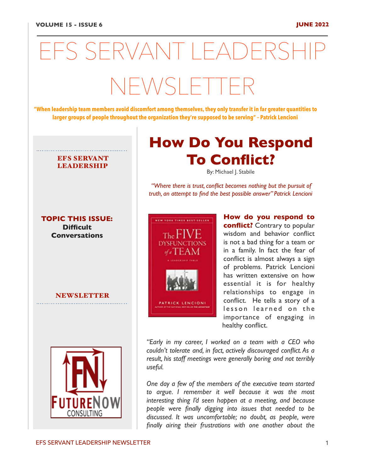**"When leadership team members avoid discomfort among themselves, they only transfer it in far greater quantities to larger groups of people throughout the organization they're supposed to be serving" – Patrick Lencioni** 

#### EFS SERVANT LEADERSHIP

#### **TOPIC THIS ISSUE: Difficult Conversations**

NEWSLETTER



# **How Do You Respond To Conflict?**

By: Michael J. Stabile

 *"Where there is trust, conflict becomes nothing but the pursuit of truth, an attempt to find the best possible answer" Patrick Lencioni*



**How do you respond to conflict?** Contrary to popular wisdom and behavior conflict is not a bad thing for a team or in a family. In fact the fear of conflict is almost always a sign of problems. Patrick Lencioni has written extensive on how essential it is for healthy relationships to engage in conflict. He tells a story of a lesson learned on the importance of engaging in healthy conflict.

*"Early in my career, I worked on a team with a CEO who couldn't tolerate and, in fact, actively discouraged conflict. As a result, his staff meetings were generally boring and not terribly useful.* 

*One day a few of the members of the executive team started to argue. I remember it well because it was the most interesting thing I'd seen happen at a meeting, and because people were finally digging into issues that needed to be discussed. It was uncomfortable; no doubt, as people, were*  finally airing their frustrations with one another about the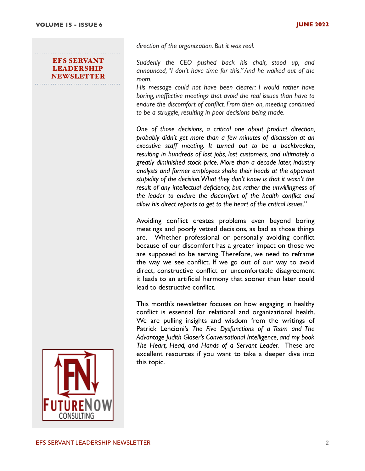

*direction of the organization. But it was real.*

*Suddenly the CEO pushed back his chair, stood up, and announced, "I don't have time for this." And he walked out of the room.*

*His message could not have been clearer: I would rather have boring, ineffective meetings that avoid the real issues than have to endure the discomfort of conflict. From then on, meeting continued to be a struggle, resulting in poor decisions being made.*

*One of those decisions, a critical one about product direction, probably didn't get more than a few minutes of discussion at an executive staff meeting. It turned out to be a backbreaker, resulting in hundreds of lost jobs, lost customers, and ultimately a greatly diminished stock price. More than a decade later, industry analysts and former employees shake their heads at the apparent stupidity of the decision. What they don't know is that it wasn't the result of any intellectual deficiency, but rather the unwillingness of the leader to endure the discomfort of the health conflict and allow his direct reports to get to the heart of the critical issues."*

Avoiding conflict creates problems even beyond boring meetings and poorly vetted decisions, as bad as those things are. Whether professional or personally avoiding conflict because of our discomfort has a greater impact on those we are supposed to be serving. Therefore, we need to reframe the way we see conflict. If we go out of our way to avoid direct, constructive conflict or uncomfortable disagreement it leads to an artificial harmony that sooner than later could lead to destructive conflict.

This month's newsletter focuses on how engaging in healthy conflict is essential for relational and organizational health. We are pulling insights and wisdom from the writings of Patrick Lencioni's *The Five Dysfunctions of a Team and The Advantage Judith Glaser's Conversational Intelligence, and my book The Heart, Head, and Hands of a Servant Leader.* These are excellent resources if you want to take a deeper dive into this topic.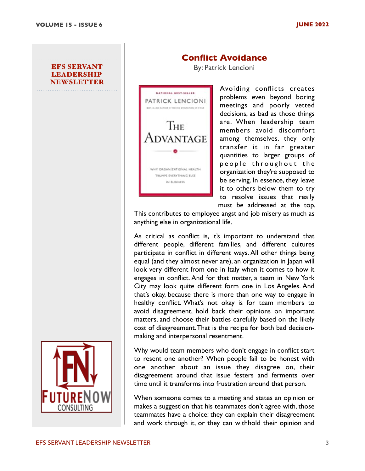#### **Conflict Avoidance**

By: Patrick Lencioni



Avoiding conflicts creates problems even beyond boring meetings and poorly vetted decisions, as bad as those things are. When leadership team members avoid discomfort among themselves, they only transfer it in far greater quantities to larger groups of people throughout the organization they're supposed to be serving. In essence, they leave it to others below them to try to resolve issues that really must be addressed at the top.

This contributes to employee angst and job misery as much as anything else in organizational life.

As critical as conflict is, it's important to understand that different people, different families, and different cultures participate in conflict in different ways. All other things being equal (and they almost never are), an organization in Japan will look very different from one in Italy when it comes to how it engages in conflict. And for that matter, a team in New York City may look quite different form one in Los Angeles. And that's okay, because there is more than one way to engage in healthy conflict. What's not okay is for team members to avoid disagreement, hold back their opinions on important matters, and choose their battles carefully based on the likely cost of disagreement. That is the recipe for both bad decisionmaking and interpersonal resentment.

Why would team members who don't engage in conflict start to resent one another? When people fail to be honest with one another about an issue they disagree on, their disagreement around that issue festers and ferments over time until it transforms into frustration around that person.

When someone comes to a meeting and states an opinion or makes a suggestion that his teammates don't agree with, those teammates have a choice: they can explain their disagreement and work through it, or they can withhold their opinion and

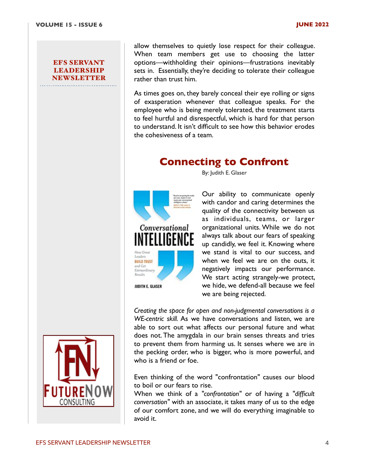allow themselves to quietly lose respect for their colleague. When team members get use to choosing the latter options––withholding their opinions––frustrations inevitably sets in. Essentially, they're deciding to tolerate their colleague rather than trust him.

As times goes on, they barely conceal their eye rolling or signs of exasperation whenever that colleague speaks. For the employee who is being merely tolerated, the treatment starts to feel hurtful and disrespectful, which is hard for that person to understand. It isn't difficult to see how this behavior erodes the cohesiveness of a team.

### **Connecting to Confront**

By: Judith E. Glaser



Our ability to communicate openly with candor and caring determines the quality of the connectivity between us as individuals, teams, or larger organizational units. While we do not always talk about our fears of speaking up candidly, we feel it. Knowing where we stand is vital to our success, and when we feel we are on the outs, it negatively impacts our performance. We start acting strangely-we protect, we hide, we defend-all because we feel we are being rejected.

*Creating the space for open and non-judgmental conversations is a WE-centric skill.* As we have conversations and listen, we are able to sort out what affects our personal future and what does not. The amygdala in our brain senses threats and tries to prevent them from harming us. It senses where we are in the pecking order, who is bigger, who is more powerful, and who is a friend or foe.

Even thinking of the word "confrontation" causes our blood to boil or our fears to rise.

When we think of a *"confrontation"* or of having a *"difficult conversation"* with an associate, it takes many of us to the edge of our comfort zone, and we will do everything imaginable to avoid it.

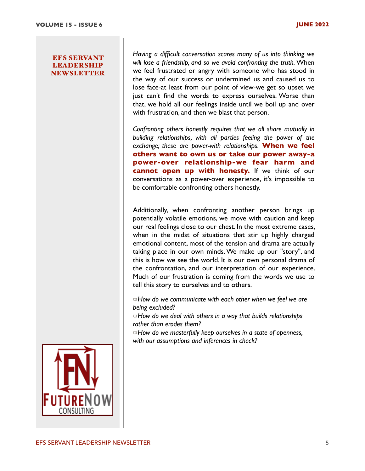*Having a difficult conversation scares many of us into thinking we will lose a friendship, and so we avoid confronting the truth.* When we feel frustrated or angry with someone who has stood in the way of our success or undermined us and caused us to lose face-at least from our point of view-we get so upset we just can't find the words to express ourselves. Worse than that, we hold all our feelings inside until we boil up and over with frustration, and then we blast that person.

*Confronting others honestly requires that we all share mutually in building relationships, with all parties feeling the power of the exchange; these are power-with relationships.* **When we feel others want to own us or take our power away-a power-over relationship-we fear harm and cannot open up with honesty.** If we think of our conversations as a power-over experience, it's impossible to be comfortable confronting others honestly.

Additionally, when confronting another person brings up potentially volatile emotions, we move with caution and keep our real feelings close to our chest. In the most extreme cases, when in the midst of situations that stir up highly charged emotional content, most of the tension and drama are actually taking place in our own minds. We make up our "story", and this is how we see the world. It is our own personal drama of the confrontation, and our interpretation of our experience. Much of our frustration is coming from the words we use to tell this story to ourselves and to others.

<sup>ϖ</sup>*How do we communicate with each other when we feel we are being excluded?*

ϖ*How do we deal with others in a way that builds relationships rather than erodes them?*

<sup>ϖ</sup>*How do we masterfully keep ourselves in a state of openness, with our assumptions and inferences in check?*

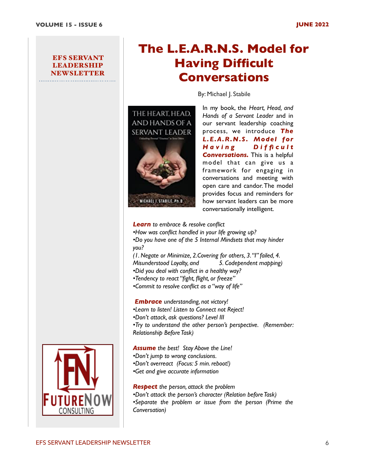## **The L.E.A.R.N.S. Model for Having Difficult Conversations**

By: Michael J. Stabile

THE HEART, HEAD, AND HANDS OF A **SERVANT LEADER** MICHAEL J. STABILE, Ph.D.

In my book, the *Heart, Head, and Hands of a Servant Leader* and in our servant leadership coaching process, we introduce *The L.E.A.R.N.S. Model for H a v i n g D i f fi c u l t Conversations.* This is a helpful model that can give us a framework for engaging in conversations and meeting with open care and candor. The model provides focus and reminders for how servant leaders can be more conversationally intelligent.

*Learn to embrace & resolve conflict •How was conflict handled in your life growing up? •Do you have one of the 5 Internal Mindsets that may hinder you?* 

*(1. Negate or Minimize, 2.Covering for others, 3. "I" failed, 4. Misunderstood Loyalty, and 5. Codependent mapping) •Did you deal with conflict in a healthy way?*

*•Tendency to react "fight, flight, or freeze"*

*•Commit to resolve conflict as a "way of life"*

*Embrace understanding, not victory! •Learn to listen! Listen to Connect not Reject!* 

*•Don't attack, ask questions? Level III*

*•Try to understand the other person's perspective. (Remember: Relationship Before Task)* 

*Assume the best! Stay Above the Line! •Don't jump to wrong conclusions. •Don't overreact (Focus: 5 min. reboot!) •Get and give accurate information*

*Respect the person, attack the problem •Don't attack the person's character (Relation before Task) •Separate the problem or issue from the person (Prime the Conversation)*